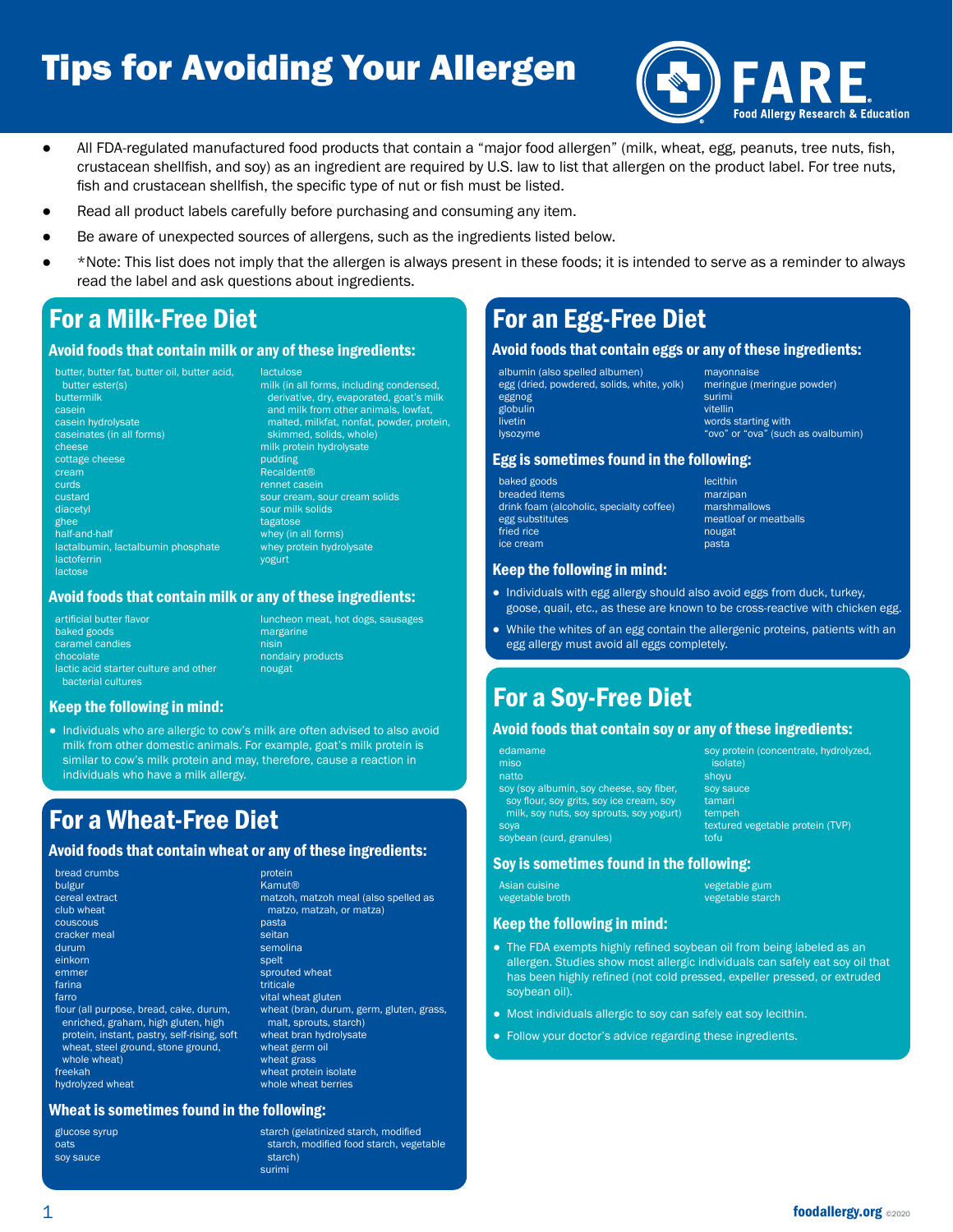# Tips for Avoiding Your Allergen



- All FDA-regulated manufactured food products that contain a "major food allergen" (milk, wheat, egg, peanuts, tree nuts, fish, crustacean shellfish, and soy) as an ingredient are required by U.S. law to list that allergen on the product label. For tree nuts, fish and crustacean shellfish, the specific type of nut or fish must be listed.
- Read all product labels carefully before purchasing and consuming any item.
- Be aware of unexpected sources of allergens, such as the ingredients listed below.
- \*Note: This list does not imply that the allergen is always present in these foods; it is intended to serve as a reminder to always read the label and ask questions about ingredients.

# For a Milk-Free Diet

#### Avoid foods that contain milk or any of these ingredients:

butter, butter fat, butter oil, butter acid, butter ester(s) buttermilk casein casein hydrolysate caseinates (in all forms) cheese cottage cheese cream curds custard **diacetyl** ghee half-and-half lactalbumin, lactalbumin phosphate lactoferrin lactose

lactulose milk (in all forms, including condensed, derivative, dry, evaporated, goat's milk and milk from other animals, malted, milkfat, nonfat, powder, protein, skimmed, solids, whole) milk protein hydrolysate pudding Recaldent® rennet casein sour cream, sour cream solids sour milk solids tagatose whey (in all forms) whey protein hydrolysate yogurt

#### Avoid foods that contain milk or any of these ingredients:

| artificial butter flavor              |
|---------------------------------------|
| baked goods                           |
| caramel candies                       |
| chocolate                             |
| lactic acid starter culture and other |
| bacterial cultures                    |

luncheon meat, hot dogs, sausages margarine nondairy products nougat

#### Keep the following in mind:

● Individuals who are allergic to cow's milk are often advised to also avoid milk from other domestic animals. For example, goat's milk protein is similar to cow's milk protein and may, therefore, cause a reaction in individuals who have a milk allergy.

# For a Wheat-Free Diet

#### Avoid foods that contain wheat or any of these ingredients:

| bread crumbs                                                                   | protein                                                            |
|--------------------------------------------------------------------------------|--------------------------------------------------------------------|
| bulgur                                                                         | Kamut®                                                             |
| cereal extract                                                                 | matzoh, matzoh meal (also spelled as                               |
| club wheat                                                                     | matzo, matzah, or matza)                                           |
| couscous                                                                       | pasta                                                              |
| cracker meal                                                                   | seitan                                                             |
| durum                                                                          | semolina                                                           |
| einkorn                                                                        | spelt                                                              |
| emmer                                                                          | sprouted wheat                                                     |
| farina                                                                         | triticale                                                          |
| farro                                                                          | vital wheat gluten                                                 |
| flour (all purpose, bread, cake, durum,<br>enriched, graham, high gluten, high | wheat (bran, durum, germ, gluten, grass,<br>malt, sprouts, starch) |
| protein, instant, pastry, self-rising, soft                                    | wheat bran hydrolysate                                             |
| wheat, steel ground, stone ground,                                             | wheat germ oil                                                     |
| whole wheat)                                                                   | wheat grass                                                        |
| freekah                                                                        | wheat protein isolate                                              |
| hydrolyzed wheat                                                               | whole wheat berries                                                |
|                                                                                |                                                                    |

## Wheat is sometimes found in the following:

glucose syrup oats soy sauce

starch (gelatinized starch, modified starch, modified food starch, vegetable starch) surimi

# For an Egg-Free Diet

#### Avoid foods that contain eggs or any of these ingredients:

albumin (also spelled albumen) egg (dried, powdered, solids, white, yolk) eggnog globulin livetin lysozyme

mayonnaise meringue (meringue powder) surimi vitellin words starting with "ovo" or "ova" (such as ovalbumin)

#### Egg is sometimes found in the following:

baked goods breaded items drink foam (alcoholic, specialty coffee) egg substitutes fried rice ice cream

Keep the following in mind:

● Individuals with egg allergy should also avoid eggs from duck, turkey, goose, quail, etc., as these are known to be cross-reactive with chicken egg.

lecithin marzipan marshmallows meatloaf or meatballs

nougat pasta

● While the whites of an egg contain the allergenic proteins, patients with an egg allergy must avoid all eggs completely.

# For a Soy-Free Diet

#### Avoid foods that contain soy or any of these ingredients:

edamame miso natto soy (soy albumin, soy cheese, soy fiber, soy flour, soy grits, soy ice cream, soy milk, soy nuts, soy sprouts, soy yogurt) soya

soybean (curd, granules)

#### Soy is sometimes found in the following:

Asian cuisine vegetable broth vegetable gum vegetable starch

isolate) shoyu soy sauce tamari tempeh

tofu

soy protein (concentrate, hydrolyzed,

textured vegetable protein (TVP)

#### Keep the following in mind:

- The FDA exempts highly refined soybean oil from being labeled as an allergen. Studies show most allergic individuals can safely eat soy oil that has been highly refined (not cold pressed, expeller pressed, or extruded soybean oil).
- Most individuals allergic to soy can safely eat soy lecithin.
- Follow your doctor's advice regarding these ingredients.

 $1$  foodallergy.org  $_{\scriptscriptstyle\odot$ 2020